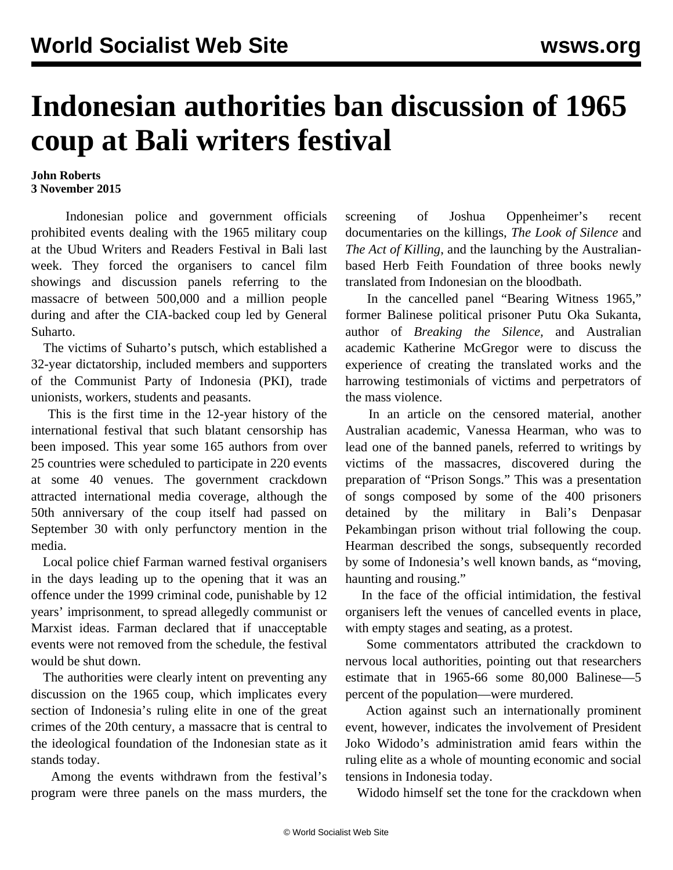## **Indonesian authorities ban discussion of 1965 coup at Bali writers festival**

## **John Roberts 3 November 2015**

 Indonesian police and government officials prohibited events dealing with the 1965 military coup at the Ubud Writers and Readers Festival in Bali last week. They forced the organisers to cancel film showings and discussion panels referring to the massacre of between 500,000 and a million people during and after the CIA-backed coup led by General Suharto.

 The victims of Suharto's putsch, which established a 32-year dictatorship, included members and supporters of the Communist Party of Indonesia (PKI), trade unionists, workers, students and peasants.

 This is the first time in the 12-year history of the international festival that such blatant censorship has been imposed. This year some 165 authors from over 25 countries were scheduled to participate in 220 events at some 40 venues. The government crackdown attracted international media coverage, although the 50th anniversary of the coup itself had passed on September 30 with only perfunctory mention in the media.

 Local police chief Farman warned festival organisers in the days leading up to the opening that it was an offence under the 1999 criminal code, punishable by 12 years' imprisonment, to spread allegedly communist or Marxist ideas. Farman declared that if unacceptable events were not removed from the schedule, the festival would be shut down.

 The authorities were clearly intent on preventing any discussion on the 1965 coup, which implicates every section of Indonesia's ruling elite in one of the great crimes of the 20th century, a massacre that is central to the ideological foundation of the Indonesian state as it stands today.

 Among the events withdrawn from the festival's program were three panels on the mass murders, the screening of Joshua Oppenheimer's recent documentaries on the killings, *The Look of Silence* and *The Act of Killing*, and the launching by the Australianbased Herb Feith Foundation of three books newly translated from Indonesian on the bloodbath.

 In the cancelled panel "Bearing Witness 1965," former Balinese political prisoner Putu Oka Sukanta, author of *Breaking the Silence,* and Australian academic Katherine McGregor were to discuss the experience of creating the translated works and the harrowing testimonials of victims and perpetrators of the mass violence.

 In an article on the censored material, another Australian academic, Vanessa Hearman, who was to lead one of the banned panels, referred to writings by victims of the massacres, discovered during the preparation of "Prison Songs." This was a presentation of songs composed by some of the 400 prisoners detained by the military in Bali's Denpasar Pekambingan prison without trial following the coup. Hearman described the songs, subsequently recorded by some of Indonesia's well known bands, as "moving, haunting and rousing."

 In the face of the official intimidation, the festival organisers left the venues of cancelled events in place, with empty stages and seating, as a protest.

 Some commentators attributed the crackdown to nervous local authorities, pointing out that researchers estimate that in 1965-66 some 80,000 Balinese—5 percent of the population—were murdered.

 Action against such an internationally prominent event, however, indicates the involvement of President Joko Widodo's administration amid fears within the ruling elite as a whole of mounting economic and social tensions in Indonesia today.

Widodo himself set the tone for the crackdown when